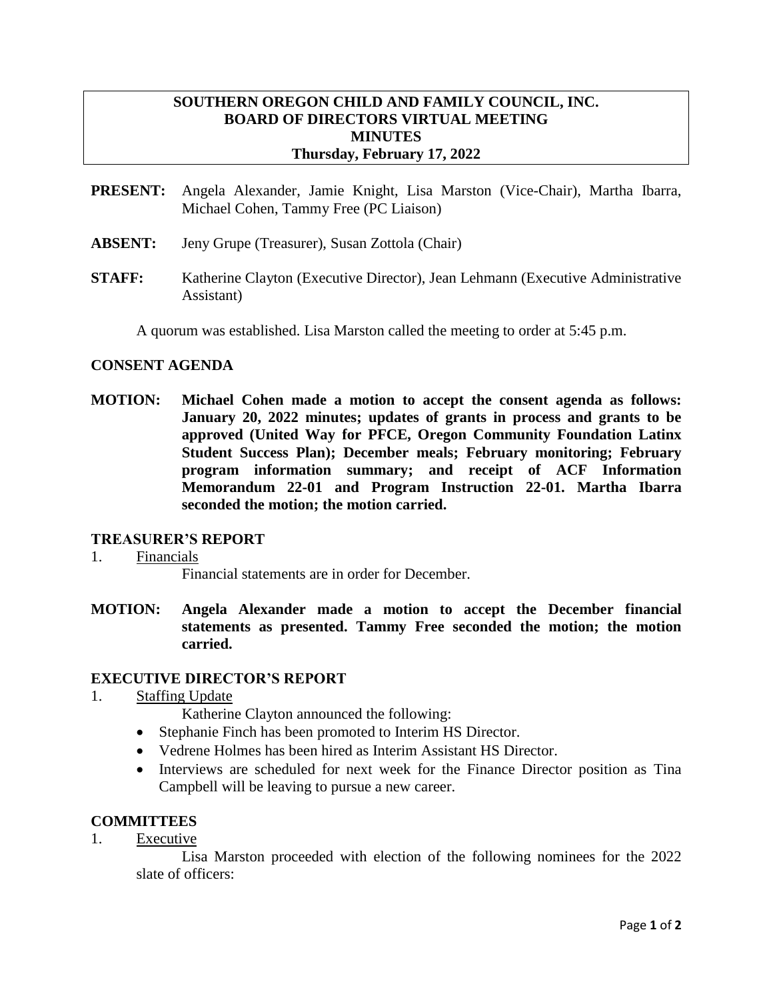# **SOUTHERN OREGON CHILD AND FAMILY COUNCIL, INC. BOARD OF DIRECTORS VIRTUAL MEETING MINUTES Thursday, February 17, 2022**

- **PRESENT:** Angela Alexander, Jamie Knight, Lisa Marston (Vice-Chair), Martha Ibarra, Michael Cohen, Tammy Free (PC Liaison)
- **ABSENT:** Jeny Grupe (Treasurer), Susan Zottola (Chair)
- **STAFF:** Katherine Clayton (Executive Director), Jean Lehmann (Executive Administrative Assistant)

A quorum was established. Lisa Marston called the meeting to order at 5:45 p.m.

### **CONSENT AGENDA**

**MOTION: Michael Cohen made a motion to accept the consent agenda as follows: January 20, 2022 minutes; updates of grants in process and grants to be approved (United Way for PFCE, Oregon Community Foundation Latinx Student Success Plan); December meals; February monitoring; February program information summary; and receipt of ACF Information Memorandum 22-01 and Program Instruction 22-01. Martha Ibarra seconded the motion; the motion carried.**

#### **TREASURER'S REPORT**

1. Financials

Financial statements are in order for December.

**MOTION: Angela Alexander made a motion to accept the December financial statements as presented. Tammy Free seconded the motion; the motion carried.**

#### **EXECUTIVE DIRECTOR'S REPORT**

1. Staffing Update

Katherine Clayton announced the following:

- Stephanie Finch has been promoted to Interim HS Director.
- Vedrene Holmes has been hired as Interim Assistant HS Director.
- Interviews are scheduled for next week for the Finance Director position as Tina Campbell will be leaving to pursue a new career.

# **COMMITTEES**

1. Executive

Lisa Marston proceeded with election of the following nominees for the 2022 slate of officers: